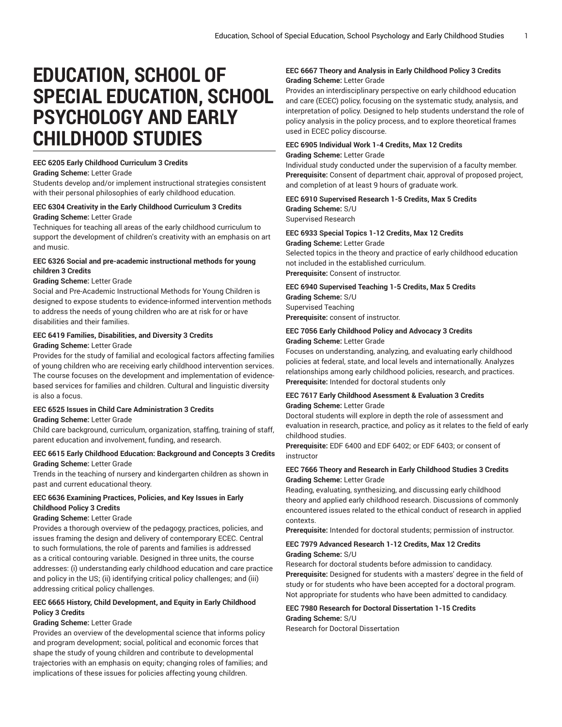# **EDUCATION, SCHOOL OF SPECIAL EDUCATION, SCHOOL PSYCHOLOGY AND EARLY CHILDHOOD STUDIES**

#### **EEC 6205 Early Childhood Curriculum 3 Credits**

#### **Grading Scheme:** Letter Grade

Students develop and/or implement instructional strategies consistent with their personal philosophies of early childhood education.

#### **EEC 6304 Creativity in the Early Childhood Curriculum 3 Credits**

#### **Grading Scheme:** Letter Grade

Techniques for teaching all areas of the early childhood curriculum to support the development of children's creativity with an emphasis on art and music.

#### **EEC 6326 Social and pre-academic instructional methods for young children 3 Credits**

#### **Grading Scheme:** Letter Grade

Social and Pre-Academic Instructional Methods for Young Children is designed to expose students to evidence-informed intervention methods to address the needs of young children who are at risk for or have disabilities and their families.

#### **EEC 6419 Families, Disabilities, and Diversity 3 Credits**

#### **Grading Scheme:** Letter Grade

Provides for the study of familial and ecological factors affecting families of young children who are receiving early childhood intervention services. The course focuses on the development and implementation of evidencebased services for families and children. Cultural and linguistic diversity is also a focus.

#### **EEC 6525 Issues in Child Care Administration 3 Credits**

#### **Grading Scheme:** Letter Grade

Child care background, curriculum, organization, staffing, training of staff, parent education and involvement, funding, and research.

#### **EEC 6615 Early Childhood Education: Background and Concepts 3 Credits Grading Scheme:** Letter Grade

Trends in the teaching of nursery and kindergarten children as shown in past and current educational theory.

#### **EEC 6636 Examining Practices, Policies, and Key Issues in Early Childhood Policy 3 Credits**

#### **Grading Scheme:** Letter Grade

Provides a thorough overview of the pedagogy, practices, policies, and issues framing the design and delivery of contemporary ECEC. Central to such formulations, the role of parents and families is addressed as a critical contouring variable. Designed in three units, the course addresses: (i) understanding early childhood education and care practice and policy in the US; (ii) identifying critical policy challenges; and (iii) addressing critical policy challenges.

#### **EEC 6665 History, Child Development, and Equity in Early Childhood Policy 3 Credits**

#### **Grading Scheme:** Letter Grade

Provides an overview of the developmental science that informs policy and program development; social, political and economic forces that shape the study of young children and contribute to developmental trajectories with an emphasis on equity; changing roles of families; and implications of these issues for policies affecting young children.

#### **EEC 6667 Theory and Analysis in Early Childhood Policy 3 Credits Grading Scheme:** Letter Grade

Provides an interdisciplinary perspective on early childhood education and care (ECEC) policy, focusing on the systematic study, analysis, and interpretation of policy. Designed to help students understand the role of policy analysis in the policy process, and to explore theoretical frames used in ECEC policy discourse.

#### **EEC 6905 Individual Work 1-4 Credits, Max 12 Credits Grading Scheme:** Letter Grade

Individual study conducted under the supervision of a faculty member. **Prerequisite:** Consent of department chair, approval of proposed project, and completion of at least 9 hours of graduate work.

### **EEC 6910 Supervised Research 1-5 Credits, Max 5 Credits Grading Scheme:** S/U

Supervised Research

### **EEC 6933 Special Topics 1-12 Credits, Max 12 Credits**

**Grading Scheme:** Letter Grade Selected topics in the theory and practice of early childhood education not included in the established curriculum. **Prerequisite:** Consent of instructor.

### **EEC 6940 Supervised Teaching 1-5 Credits, Max 5 Credits**

**Grading Scheme:** S/U Supervised Teaching **Prerequisite:** consent of instructor.

#### **EEC 7056 Early Childhood Policy and Advocacy 3 Credits Grading Scheme:** Letter Grade

Focuses on understanding, analyzing, and evaluating early childhood policies at federal, state, and local levels and internationally. Analyzes relationships among early childhood policies, research, and practices. **Prerequisite:** Intended for doctoral students only

#### **EEC 7617 Early Childhood Asessment & Evaluation 3 Credits Grading Scheme:** Letter Grade

Doctoral students will explore in depth the role of assessment and evaluation in research, practice, and policy as it relates to the field of early childhood studies.

**Prerequisite:** EDF 6400 and EDF 6402; or EDF 6403; or consent of instructor

#### **EEC 7666 Theory and Research in Early Childhood Studies 3 Credits Grading Scheme:** Letter Grade

Reading, evaluating, synthesizing, and discussing early childhood theory and applied early childhood research. Discussions of commonly encountered issues related to the ethical conduct of research in applied contexts.

**Prerequisite:** Intended for doctoral students; permission of instructor.

#### **EEC 7979 Advanced Research 1-12 Credits, Max 12 Credits Grading Scheme:** S/U

Research for doctoral students before admission to candidacy. **Prerequisite:** Designed for students with a masters' degree in the field of study or for students who have been accepted for a doctoral program. Not appropriate for students who have been admitted to candidacy.

#### **EEC 7980 Research for Doctoral Dissertation 1-15 Credits Grading Scheme:** S/U

Research for Doctoral Dissertation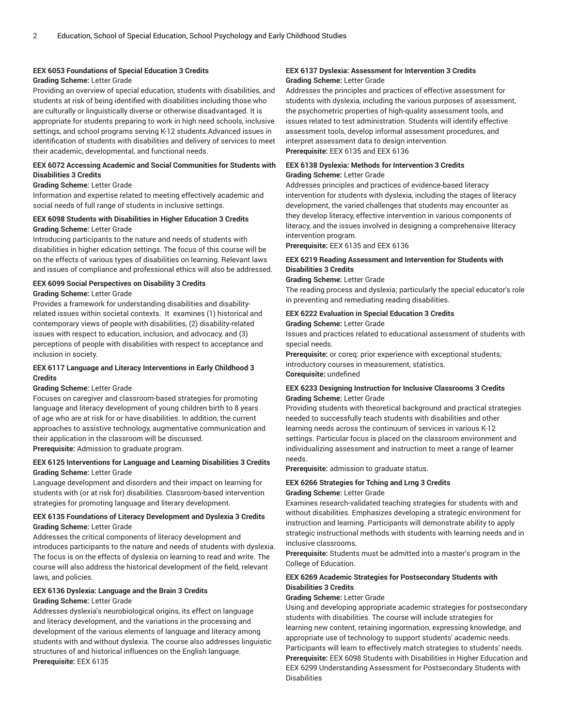#### **EEX 6053 Foundations of Special Education 3 Credits**

#### **Grading Scheme:** Letter Grade

Providing an overview of special education, students with disabilities, and students at risk of being identified with disabilities including those who are culturally or linguistically diverse or otherwise disadvantaged. It is appropriate for students preparing to work in high need schools, inclusive settings, and school programs serving K-12 students.Advanced issues in identification of students with disabilities and delivery of services to meet their academic, developmental, and functional needs.

#### **EEX 6072 Accessing Academic and Social Communities for Students with Disabilities 3 Credits**

#### **Grading Scheme:** Letter Grade

Information and expertise related to meeting effectively academic and social needs of full range of students in inclusive settings.

### **EEX 6098 Students with Disabilities in Higher Education 3 Credits**

#### **Grading Scheme:** Letter Grade

Introducing participants to the nature and needs of students with disabilities in higher edication settings. The focus of this course will be on the effects of various types of disabilities on learning. Relevant laws and issues of compliance and professional ethics will also be addressed.

### **EEX 6099 Social Perspectives on Disability 3 Credits**

**Grading Scheme:** Letter Grade

Provides a framework for understanding disabilities and disabilityrelated issues within societal contexts. It examines (1) historical and contemporary views of people with disabilities, (2) disability-related issues with respect to education, inclusion, and advocacy, and (3) perceptions of people with disabilities with respect to acceptance and inclusion in society.

#### **EEX 6117 Language and Literacy Interventions in Early Childhood 3 Credits**

#### **Grading Scheme:** Letter Grade

Focuses on caregiver and classroom-based strategies for promoting language and literacy development of young children birth to 8 years of age who are at risk for or have disabilities. In addition, the current approaches to assistive technology, augmentative communication and their application in the classroom will be discussed.

**Prerequisite:** Admission to graduate program.

#### **EEX 6125 Interventions for Language and Learning Disabilities 3 Credits Grading Scheme:** Letter Grade

Language development and disorders and their impact on learning for students with (or at risk for) disabilities. Classroom-based intervention strategies for promoting language and literary development.

#### **EEX 6135 Foundations of Literacy Development and Dyslexia 3 Credits Grading Scheme:** Letter Grade

Addresses the critical components of literacy development and introduces participants to the nature and needs of students with dyslexia. The focus is on the effects of dyslexia on learning to read and write. The course will also address the historical development of the field, relevant laws, and policies.

### **EEX 6136 Dyslexia: Language and the Brain 3 Credits**

#### **Grading Scheme:** Letter Grade

Addresses dyslexia's neurobiological origins, its effect on language and literacy development, and the variations in the processing and development of the various elements of language and literacy among students with and without dyslexia. The course also addresses linguistic structures of and historical influences on the English language. **Prerequisite:** EEX 6135

#### **EEX 6137 Dyslexia: Assessment for Intervention 3 Credits Grading Scheme:** Letter Grade

Addresses the principles and practices of effective assessment for students with dyslexia, including the various purposes of assessment, the psychometric properties of high-quality assessment tools, and issues related to test administration. Students will identify effective assessment tools, develop informal assessment procedures, and interpret assessment data to design intervention. **Prerequisite:** EEX 6135 and EEX 6136

#### **EEX 6138 Dyslexia: Methods for Intervention 3 Credits Grading Scheme:** Letter Grade

Addresses principles and practices of evidence-based literacy intervention for students with dyslexia, including the stages of literacy development, the varied challenges that students may encounter as they develop literacy, effective intervention in various components of literacy, and the issues involved in designing a comprehensive literacy intervention program.

**Prerequisite:** EEX 6135 and EEX 6136

#### **EEX 6219 Reading Assessment and Intervention for Students with Disabilities 3 Credits**

#### **Grading Scheme:** Letter Grade

The reading process and dyslexia; particularly the special educator's role in preventing and remediating reading disabilities.

#### **EEX 6222 Evaluation in Special Education 3 Credits Grading Scheme:** Letter Grade

Issues and practices related to educational assessment of students with special needs.

**Prerequisite:** or coreq: prior experience with exceptional students; introductory courses in measurement, statistics. **Corequisite:** undefined

#### **EEX 6233 Designing Instruction for Inclusive Classrooms 3 Credits Grading Scheme:** Letter Grade

Providing students with theoretical background and practical strategies needed to successfully teach students with disabilities and other learning needs across the continuum of services in various K-12 settings. Particular focus is placed on the classroom environment and individualizing assessment and instruction to meet a range of learner needs.

**Prerequisite:** admission to graduate status.

#### **EEX 6266 Strategies for Tching and Lrng 3 Credits Grading Scheme:** Letter Grade

Examines research-validated teaching strategies for students with and without disabilities. Emphasizes developing a strategic environment for instruction and learning. Participants will demonstrate ability to apply strategic instructional methods with students with learning needs and in inclusive classrooms.

**Prerequisite:** Students must be admitted into a master's program in the College of Education.

#### **EEX 6269 Academic Strategies for Postsecondary Students with Disabilities 3 Credits**

#### **Grading Scheme:** Letter Grade

Using and developing appropriate academic strategies for postsecondary students with disabilities. The course will include strategies for learning new content, retaining ingormation, expressing knowledge, and appropriate use of technology to support students' academic needs. Participants will learn to effectively match strategies to students' needs. **Prerequisite:** EEX 6098 Students with Disabilities in Higher Education and EEX 6299 Understanding Assessment for Postsecondary Students with **Disabilities**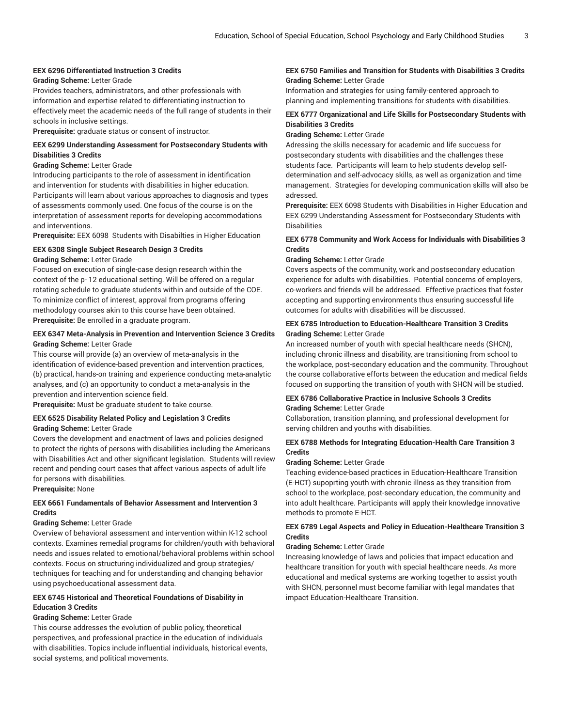#### **EEX 6296 Differentiated Instruction 3 Credits**

#### **Grading Scheme:** Letter Grade

Provides teachers, administrators, and other professionals with information and expertise related to differentiating instruction to effectively meet the academic needs of the full range of students in their schools in inclusive settings.

**Prerequisite:** graduate status or consent of instructor.

#### **EEX 6299 Understanding Assessment for Postsecondary Students with Disabilities 3 Credits**

#### **Grading Scheme:** Letter Grade

Introducing participants to the role of assessment in identification and intervention for students with disabilities in higher education. Participants will learn about various approaches to diagnosis and types of assessments commonly used. One focus of the course is on the interpretation of assessment reports for developing accommodations and interventions.

**Prerequisite:** EEX 6098 Students with Disabilties in Higher Education

#### **EEX 6308 Single Subject Research Design 3 Credits**

#### **Grading Scheme:** Letter Grade

Focused on execution of single-case design research within the context of the p- 12 educational setting. Will be offered on a regular rotating schedule to graduate students within and outside of the COE. To minimize conflict of interest, approval from programs offering methodology courses akin to this course have been obtained. **Prerequisite:** Be enrolled in a graduate program.

#### **EEX 6347 Meta-Analysis in Prevention and Intervention Science 3 Credits Grading Scheme:** Letter Grade

This course will provide (a) an overview of meta-analysis in the identification of evidence-based prevention and intervention practices, (b) practical, hands-on training and experience conducting meta-analytic analyses, and (c) an opportunity to conduct a meta-analysis in the prevention and intervention science field.

**Prerequisite:** Must be graduate student to take course.

## **EEX 6525 Disability Related Policy and Legislation 3 Credits**

**Grading Scheme:** Letter Grade

Covers the development and enactment of laws and policies designed to protect the rights of persons with disabilities including the Americans with Disabilities Act and other significant legislation. Students will review recent and pending court cases that affect various aspects of adult life for persons with disabilities.

#### **Prerequisite:** None

#### **EEX 6661 Fundamentals of Behavior Assessment and Intervention 3 Credits**

#### **Grading Scheme:** Letter Grade

Overview of behavioral assessment and intervention within K-12 school contexts. Examines remedial programs for children/youth with behavioral needs and issues related to emotional/behavioral problems within school contexts. Focus on structuring individualized and group strategies/ techniques for teaching and for understanding and changing behavior using psychoeducational assessment data.

#### **EEX 6745 Historical and Theoretical Foundations of Disability in Education 3 Credits**

#### **Grading Scheme:** Letter Grade

This course addresses the evolution of public policy, theoretical perspectives, and professional practice in the education of individuals with disabilities. Topics include influential individuals, historical events, social systems, and political movements.

#### **EEX 6750 Families and Transition for Students with Disabilities 3 Credits Grading Scheme:** Letter Grade

Information and strategies for using family-centered approach to planning and implementing transitions for students with disabilities.

#### **EEX 6777 Organizational and Life Skills for Postsecondary Students with Disabilities 3 Credits**

#### **Grading Scheme:** Letter Grade

Adressing the skills necessary for academic and life succuess for postsecondary students with disabilities and the challenges these students face. Participants will learn to help students develop selfdetermination and self-advocacy skills, as well as organization and time management. Strategies for developing communication skills will also be adressed.

**Prerequisite:** EEX 6098 Students with Disabilities in Higher Education and EEX 6299 Understanding Assessment for Postsecondary Students with Disabilities

#### **EEX 6778 Community and Work Access for Individuals with Disabilities 3 Credits**

#### **Grading Scheme:** Letter Grade

Covers aspects of the community, work and postsecondary education experience for adults with disabilities. Potential concerns of employers, co-workers and friends will be addressed. Effective practices that foster accepting and supporting environments thus ensuring successful life outcomes for adults with disabilities will be discussed.

#### **EEX 6785 Introduction to Education-Healthcare Transition 3 Credits Grading Scheme:** Letter Grade

An increased number of youth with special healthcare needs (SHCN), including chronic illness and disability, are transitioning from school to the workplace, post-secondary education and the community. Throughout the course collaborative efforts between the education and medical fields focused on supporting the transition of youth with SHCN will be studied.

#### **EEX 6786 Collaborative Practice in Inclusive Schools 3 Credits Grading Scheme:** Letter Grade

Collaboration, transition planning, and professional development for serving children and youths with disabilities.

#### **EEX 6788 Methods for Integrating Education-Health Care Transition 3 Credits**

#### **Grading Scheme:** Letter Grade

Teaching evidence-based practices in Education-Healthcare Transition (E-HCT) supoprting youth with chronic illness as they transition from school to the workplace, post-secondary education, the community and into adult healthcare. Participants will apply their knowledge innovative methods to promote E-HCT.

#### **EEX 6789 Legal Aspects and Policy in Education-Healthcare Transition 3 Credits**

#### **Grading Scheme:** Letter Grade

Increasing knowledge of laws and policies that impact education and healthcare transition for youth with special healthcare needs. As more educational and medical systems are working together to assist youth with SHCN, personnel must become familiar with legal mandates that impact Education-Healthcare Transition.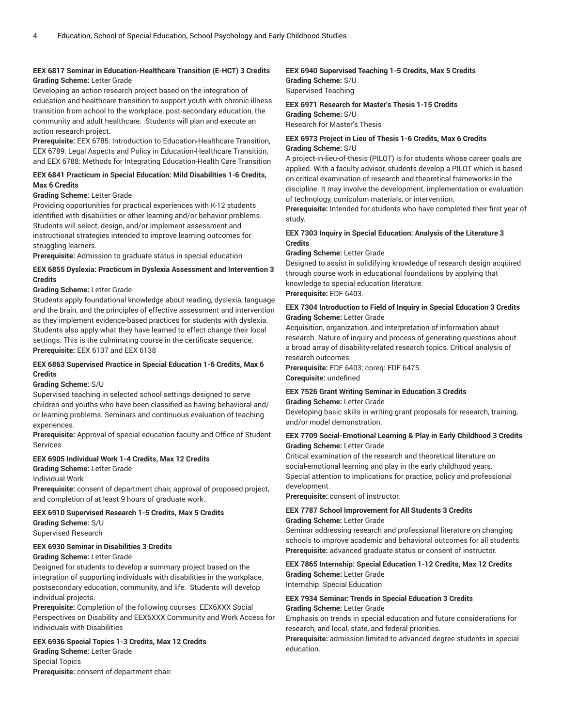### **EEX 6817 Seminar in Education-Healthcare Transition (E-HCT) 3 Credits**

**Grading Scheme:** Letter Grade

Developing an action research project based on the integration of education and healthcare transition to support youth with chronic illness transition from school to the workplace, post-secondary education, the community and adult healthcare. Students will plan and execute an action research project.

**Prerequisite:** EEX 6785: Introduction to Education-Healthcare Transition, EEX 6789: Legal Aspects and Policy in Education-Healthcare Transition, and EEX 6788: Methods for Integrating Education-Health Care Transition

#### **EEX 6841 Practicum in Special Education: Mild Disabilities 1-6 Credits, Max 6 Credits**

#### **Grading Scheme:** Letter Grade

Providing opportunities for practical experiences with K-12 students identified with disabilities or other learning and/or behavior problems. Students will select, design, and/or implement assessment and instructional strategies intended to improve learning outcomes for struggling learners.

**Prerequisite:** Admission to graduate status in special education

#### **EEX 6855 Dyslexia: Practicum in Dyslexia Assessment and Intervention 3 Credits**

#### **Grading Scheme:** Letter Grade

Students apply foundational knowledge about reading, dyslexia, language and the brain, and the principles of effective assessment and intervention as they implement evidence-based practices for students with dyslexia. Students also apply what they have learned to effect change their local settings. This is the culminating course in the certificate sequence. **Prerequisite:** EEX 6137 and EEX 6138

#### **EEX 6863 Supervised Practice in Special Education 1-6 Credits, Max 6 Credits**

#### **Grading Scheme:** S/U

Supervised teaching in selected school settings designed to serve children and youths who have been classified as having behavioral and/ or learning problems. Seminars and continuous evaluation of teaching experiences.

**Prerequisite:** Approval of special education faculty and Office of Student Services

#### **EEX 6905 Individual Work 1-4 Credits, Max 12 Credits**

**Grading Scheme:** Letter Grade

#### Individual Work

**Prerequisite:** consent of department chair, approval of proposed project, and completion of at least 9 hours of graduate work.

#### **EEX 6910 Supervised Research 1-5 Credits, Max 5 Credits**

**Grading Scheme:** S/U Supervised Research

### **EEX 6930 Seminar in Disabilities 3 Credits**

**Grading Scheme:** Letter Grade

Designed for students to develop a summary project based on the integration of supporting individuals with disabilities in the workplace, postsecondary education, community, and life. Students will develop individual projects.

**Prerequisite:** Completion of the following courses: EEX6XXX Social Perspectives on Disability and EEX6XXX Community and Work Access for Individuals with Disabilities

**EEX 6936 Special Topics 1-3 Credits, Max 12 Credits Grading Scheme:** Letter Grade Special Topics

**Prerequisite:** consent of department chair.

#### **EEX 6940 Supervised Teaching 1-5 Credits, Max 5 Credits Grading Scheme:** S/U Supervised Teaching

**EEX 6971 Research for Master's Thesis 1-15 Credits Grading Scheme:** S/U Research for Master's Thesis

#### **EEX 6973 Project in Lieu of Thesis 1-6 Credits, Max 6 Credits Grading Scheme:** S/U

A project-in-lieu-of-thesis (PILOT) is for students whose career goals are applied. With a faculty advisor, students develop a PILOT which is based on critical examination of research and theoretical frameworks in the discipline. It may involve the development, implementation or evaluation of technology, curriculum materials, or intervention.

**Prerequisite:** Intended for students who have completed their first year of study.

#### **EEX 7303 Inquiry in Special Education: Analysis of the Literature 3 Credits**

**Grading Scheme:** Letter Grade

Designed to assist in solidifying knowledge of research design acquired through course work in educational foundations by applying that knowledge to special education literature. **Prerequisite:** EDF 6403.

#### **EEX 7304 Introduction to Field of Inquiry in Special Education 3 Credits Grading Scheme:** Letter Grade

Acquisition, organization, and interpretation of information about research. Nature of inquiry and process of generating questions about a broad array of disability-related research topics. Critical analysis of research outcomes.

**Prerequisite:** EDF 6403; coreq: EDF 6475. **Corequisite:** undefined

#### **EEX 7526 Grant Writing Seminar in Education 3 Credits**

**Grading Scheme:** Letter Grade

Developing basic skills in writing grant proposals for research, training, and/or model demonstration.

#### **EEX 7709 Social-Emotional Learning & Play in Early Childhood 3 Credits Grading Scheme:** Letter Grade

Critical examination of the research and theoretical literature on social-emotional learning and play in the early childhood years. Special attention to implications for practice, policy and professional development.

**Prerequisite:** consent of instructor.

#### **EEX 7787 School Improvement for All Students 3 Credits Grading Scheme:** Letter Grade

Seminar addressing research and professional literature on changing schools to improve academic and behavioral outcomes for all students. **Prerequisite:** advanced graduate status or consent of instructor.

#### **EEX 7865 Internship: Special Education 1-12 Credits, Max 12 Credits Grading Scheme:** Letter Grade Internship: Special Education

### **EEX 7934 Seminar: Trends in Special Education 3 Credits**

**Grading Scheme:** Letter Grade

Emphasis on trends in special education and future considerations for research, and local, state, and federal priorities.

**Prerequisite:** admission limited to advanced degree students in special education.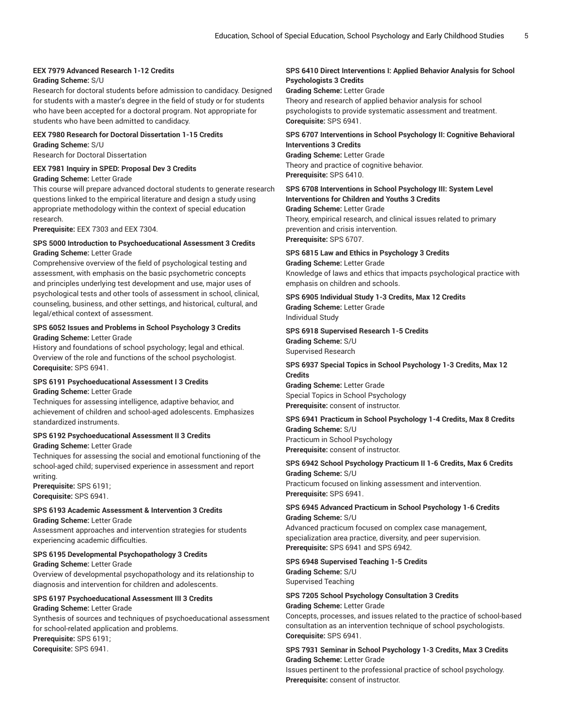### **EEX 7979 Advanced Research 1-12 Credits**

#### **Grading Scheme:** S/U

Research for doctoral students before admission to candidacy. Designed for students with a master's degree in the field of study or for students who have been accepted for a doctoral program. Not appropriate for students who have been admitted to candidacy.

#### **EEX 7980 Research for Doctoral Dissertation 1-15 Credits Grading Scheme:** S/U

Research for Doctoral Dissertation

#### **EEX 7981 Inquiry in SPED: Proposal Dev 3 Credits**

#### **Grading Scheme:** Letter Grade

This course will prepare advanced doctoral students to generate research questions linked to the empirical literature and design a study using appropriate methodology within the context of special education research.

**Prerequisite:** EEX 7303 and EEX 7304.

#### **SPS 5000 Introduction to Psychoeducational Assessment 3 Credits Grading Scheme:** Letter Grade

Comprehensive overview of the field of psychological testing and assessment, with emphasis on the basic psychometric concepts and principles underlying test development and use, major uses of psychological tests and other tools of assessment in school, clinical, counseling, business, and other settings, and historical, cultural, and legal/ethical context of assessment.

#### **SPS 6052 Issues and Problems in School Psychology 3 Credits Grading Scheme:** Letter Grade

History and foundations of school psychology; legal and ethical. Overview of the role and functions of the school psychologist. **Corequisite:** SPS 6941.

### **SPS 6191 Psychoeducational Assessment I 3 Credits**

#### **Grading Scheme:** Letter Grade

Techniques for assessing intelligence, adaptive behavior, and achievement of children and school-aged adolescents. Emphasizes standardized instruments.

#### **SPS 6192 Psychoeducational Assessment II 3 Credits**

#### **Grading Scheme:** Letter Grade

Techniques for assessing the social and emotional functioning of the school-aged child; supervised experience in assessment and report writing.

**Prerequisite:** SPS 6191; **Corequisite:** SPS 6941.

#### **SPS 6193 Academic Assessment & Intervention 3 Credits**

**Grading Scheme:** Letter Grade

Assessment approaches and intervention strategies for students experiencing academic difficulties.

#### **SPS 6195 Developmental Psychopathology 3 Credits**

**Grading Scheme:** Letter Grade Overview of developmental psychopathology and its relationship to diagnosis and intervention for children and adolescents.

#### **SPS 6197 Psychoeducational Assessment III 3 Credits**

#### **Grading Scheme:** Letter Grade Synthesis of sources and techniques of psychoeducational assessment for school-related application and problems.

**Prerequisite:** SPS 6191; **Corequisite:** SPS 6941.

#### **SPS 6410 Direct Interventions I: Applied Behavior Analysis for School Psychologists 3 Credits**

**Grading Scheme:** Letter Grade Theory and research of applied behavior analysis for school psychologists to provide systematic assessment and treatment. **Corequisite:** SPS 6941.

#### **SPS 6707 Interventions in School Psychology II: Cognitive Behavioral Interventions 3 Credits**

**Grading Scheme:** Letter Grade Theory and practice of cognitive behavior. **Prerequisite:** SPS 6410.

#### **SPS 6708 Interventions in School Psychology III: System Level Interventions for Children and Youths 3 Credits Grading Scheme:** Letter Grade

Theory, empirical research, and clinical issues related to primary prevention and crisis intervention. **Prerequisite:** SPS 6707.

**SPS 6815 Law and Ethics in Psychology 3 Credits Grading Scheme:** Letter Grade Knowledge of laws and ethics that impacts psychological practice with emphasis on children and schools.

#### **SPS 6905 Individual Study 1-3 Credits, Max 12 Credits Grading Scheme:** Letter Grade Individual Study

#### **SPS 6918 Supervised Research 1-5 Credits**

**Grading Scheme:** S/U Supervised Research

#### **SPS 6937 Special Topics in School Psychology 1-3 Credits, Max 12 Credits Grading Scheme:** Letter Grade

Special Topics in School Psychology **Prerequisite:** consent of instructor.

#### **SPS 6941 Practicum in School Psychology 1-4 Credits, Max 8 Credits Grading Scheme:** S/U Practicum in School Psychology

**Prerequisite:** consent of instructor.

#### **SPS 6942 School Psychology Practicum II 1-6 Credits, Max 6 Credits Grading Scheme:** S/U

Practicum focused on linking assessment and intervention. **Prerequisite:** SPS 6941.

#### **SPS 6945 Advanced Practicum in School Psychology 1-6 Credits Grading Scheme:** S/U

Advanced practicum focused on complex case management, specialization area practice, diversity, and peer supervision. **Prerequisite:** SPS 6941 and SPS 6942.

#### **SPS 6948 Supervised Teaching 1-5 Credits Grading Scheme:** S/U Supervised Teaching

#### **SPS 7205 School Psychology Consultation 3 Credits**

#### **Grading Scheme:** Letter Grade

Concepts, processes, and issues related to the practice of school-based consultation as an intervention technique of school psychologists. **Corequisite:** SPS 6941.

#### **SPS 7931 Seminar in School Psychology 1-3 Credits, Max 3 Credits Grading Scheme:** Letter Grade

Issues pertinent to the professional practice of school psychology. **Prerequisite:** consent of instructor.